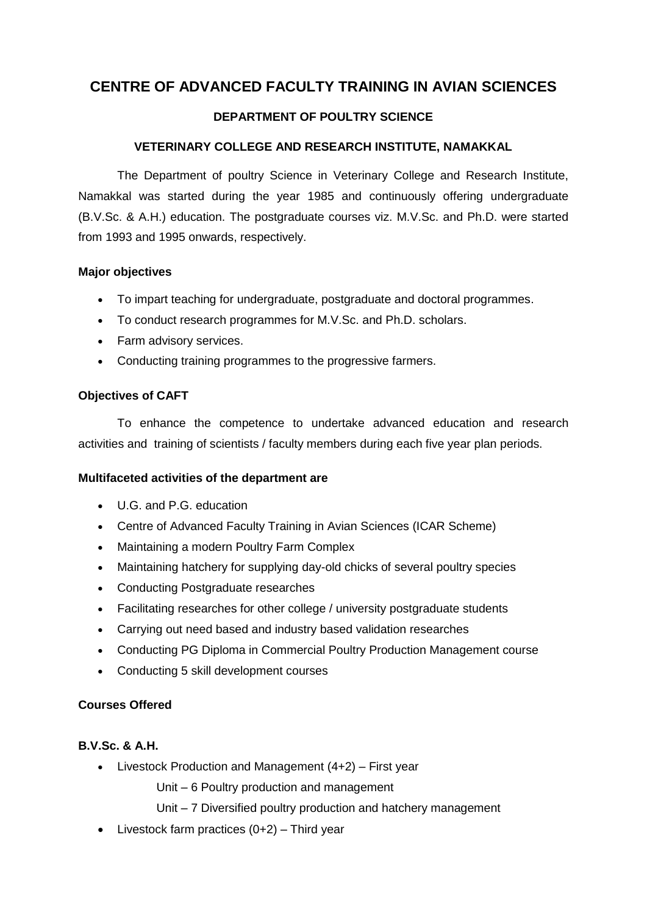# **CENTRE OF ADVANCED FACULTY TRAINING IN AVIAN SCIENCES**

## **DEPARTMENT OF POULTRY SCIENCE**

### **VETERINARY COLLEGE AND RESEARCH INSTITUTE, NAMAKKAL**

The Department of poultry Science in Veterinary College and Research Institute, Namakkal was started during the year 1985 and continuously offering undergraduate (B.V.Sc. & A.H.) education. The postgraduate courses viz. M.V.Sc. and Ph.D. were started from 1993 and 1995 onwards, respectively.

#### **Major objectives**

- To impart teaching for undergraduate, postgraduate and doctoral programmes.
- To conduct research programmes for M.V.Sc. and Ph.D. scholars.
- Farm advisory services.
- Conducting training programmes to the progressive farmers.

#### **Objectives of CAFT**

To enhance the competence to undertake advanced education and research activities and training of scientists / faculty members during each five year plan periods.

#### **Multifaceted activities of the department are**

- U.G. and P.G. education
- Centre of Advanced Faculty Training in Avian Sciences (ICAR Scheme)
- Maintaining a modern Poultry Farm Complex
- Maintaining hatchery for supplying day-old chicks of several poultry species
- Conducting Postgraduate researches
- Facilitating researches for other college / university postgraduate students
- Carrying out need based and industry based validation researches
- Conducting PG Diploma in Commercial Poultry Production Management course
- Conducting 5 skill development courses

#### **Courses Offered**

#### **B.V.Sc. & A.H.**

- Livestock Production and Management  $(4+2)$  – First year

Unit – 6 Poultry production and management

- Unit 7 Diversified poultry production and hatchery management
- $\bullet$  Livestock farm practices  $(0+2)$  Third year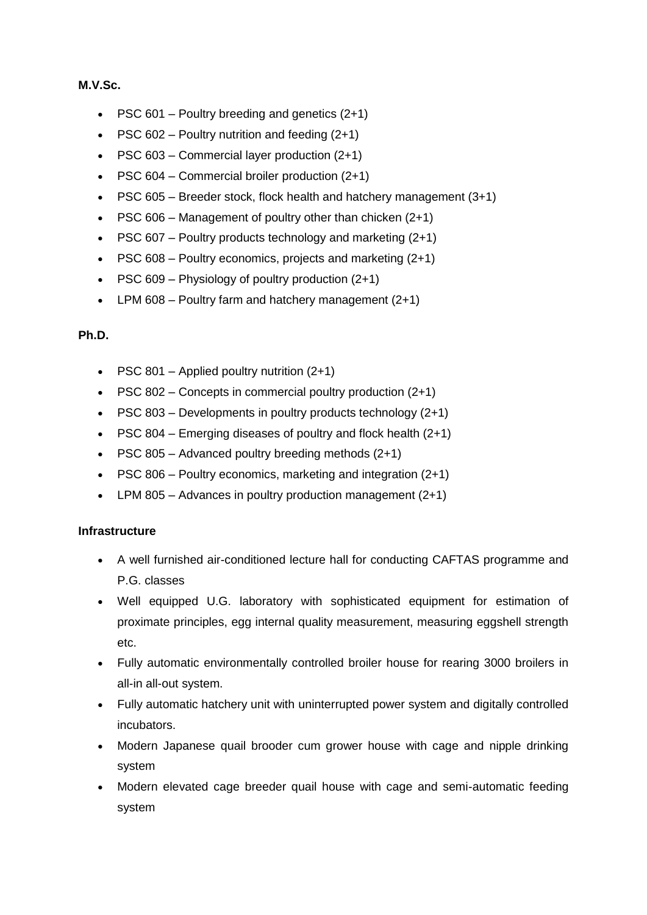#### **M.V.Sc.**

- PSC  $601$  Poultry breeding and genetics  $(2+1)$
- PSC 602 Poultry nutrition and feeding  $(2+1)$
- PSC  $603$  Commercial layer production  $(2+1)$
- PSC 604 Commercial broiler production (2+1)
- PSC  $605$  Breeder stock, flock health and hatchery management  $(3+1)$
- PSC 606 Management of poultry other than chicken  $(2+1)$
- PSC 607 Poultry products technology and marketing  $(2+1)$
- PSC 608 Poultry economics, projects and marketing (2+1)
- PSC 609 Physiology of poultry production  $(2+1)$
- $\bullet$  LPM 608 Poultry farm and hatchery management (2+1)

### **Ph.D.**

- PSC  $801$  Applied poultry nutrition  $(2+1)$
- PSC 802 Concepts in commercial poultry production  $(2+1)$
- PSC 803 Developments in poultry products technology  $(2+1)$
- PSC 804 Emerging diseases of poultry and flock health  $(2+1)$
- PSC 805 Advanced poultry breeding methods  $(2+1)$
- PSC 806 Poultry economics, marketing and integration  $(2+1)$
- LPM 805 Advances in poultry production management  $(2+1)$

### **Infrastructure**

- A well furnished air-conditioned lecture hall for conducting CAFTAS programme and P.G. classes
- Well equipped U.G. laboratory with sophisticated equipment for estimation of proximate principles, egg internal quality measurement, measuring eggshell strength etc.
- Fully automatic environmentally controlled broiler house for rearing 3000 broilers in all-in all-out system.
- Fully automatic hatchery unit with uninterrupted power system and digitally controlled incubators.
- Modern Japanese quail brooder cum grower house with cage and nipple drinking system
- Modern elevated cage breeder quail house with cage and semi-automatic feeding system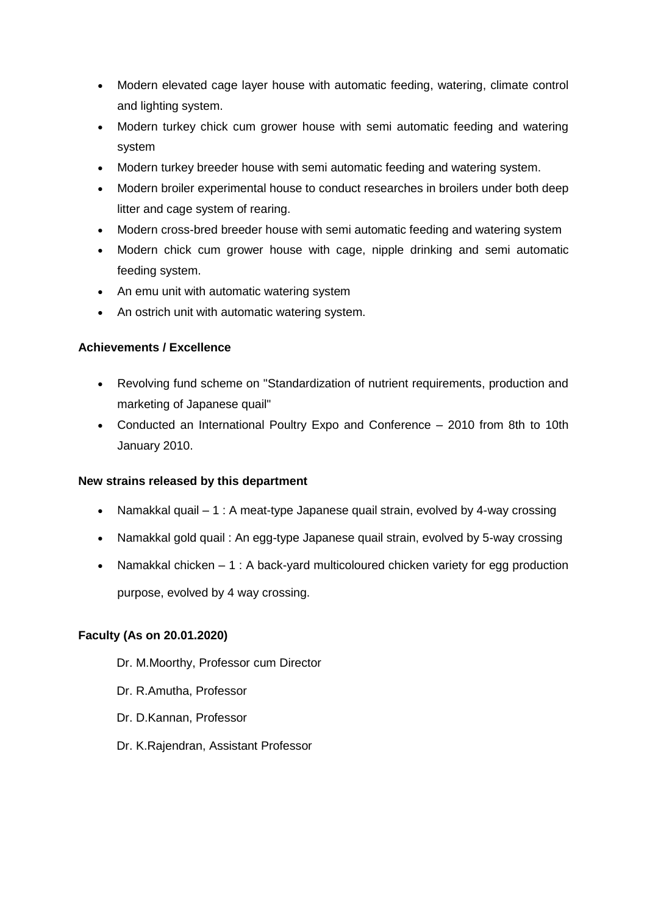- Modern elevated cage layer house with automatic feeding, watering, climate control and lighting system.
- Modern turkey chick cum grower house with semi automatic feeding and watering system
- Modern turkey breeder house with semi automatic feeding and watering system.
- Modern broiler experimental house to conduct researches in broilers under both deep litter and cage system of rearing.
- Modern cross-bred breeder house with semi automatic feeding and watering system
- Modern chick cum grower house with cage, nipple drinking and semi automatic feeding system.
- An emu unit with automatic watering system
- An ostrich unit with automatic watering system.

### **Achievements / Excellence**

- Revolving fund scheme on "Standardization of nutrient requirements, production and marketing of Japanese quail"
- Conducted an International Poultry Expo and Conference 2010 from 8th to 10th January 2010.

### **New strains released by this department**

- Namakkal quail 1 : A meat-type Japanese quail strain, evolved by 4-way crossing
- Namakkal gold quail : An egg-type Japanese quail strain, evolved by 5-way crossing
- Namakkal chicken 1 : A back-yard multicoloured chicken variety for egg production

purpose, evolved by 4 way crossing.

### **Faculty (As on 20.01.2020)**

- Dr. M.Moorthy, Professor cum Director
- Dr. R.Amutha, Professor
- Dr. D.Kannan, Professor
- Dr. K.Rajendran, Assistant Professor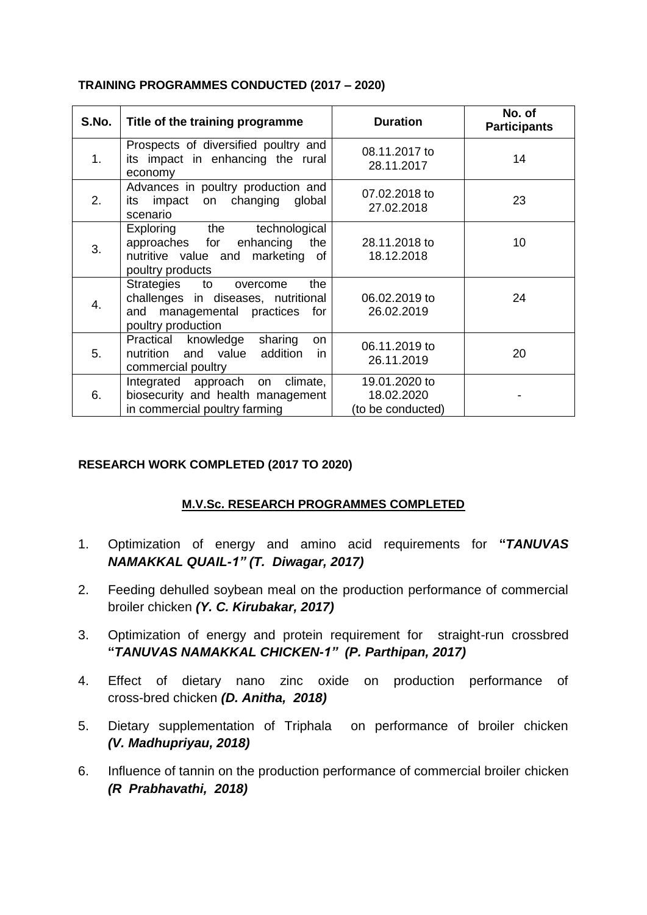## **TRAINING PROGRAMMES CONDUCTED (2017 – 2020)**

| S.No. | Title of the training programme                                                                                                 | <b>Duration</b>                                  | No. of<br><b>Participants</b> |
|-------|---------------------------------------------------------------------------------------------------------------------------------|--------------------------------------------------|-------------------------------|
| 1.    | Prospects of diversified poultry and<br>its impact in enhancing the rural<br>economy                                            | 08.11.2017 to<br>28.11.2017                      | 14                            |
| 2.    | Advances in poultry production and<br>impact on changing global<br>its<br>scenario                                              | 07.02.2018 to<br>27.02.2018                      | 23                            |
| 3.    | Exploring the technological<br>approaches for enhancing the<br>nutritive value and marketing of<br>poultry products             | 28.11.2018 to<br>18.12.2018                      | 10                            |
| 4.    | Strategies to<br>the<br>overcome<br>challenges in diseases, nutritional<br>and managemental practices for<br>poultry production | 06.02.2019 to<br>26.02.2019                      | 24                            |
| 5.    | Practical knowledge<br>sharing<br>on<br>nutrition and value addition<br>- in<br>commercial poultry                              | 06.11.2019 to<br>26.11.2019                      | 20                            |
| 6.    | Integrated approach on climate,<br>biosecurity and health management<br>in commercial poultry farming                           | 19.01.2020 to<br>18.02.2020<br>(to be conducted) |                               |

## **RESEARCH WORK COMPLETED (2017 TO 2020)**

# **M.V.Sc. RESEARCH PROGRAMMES COMPLETED**

- 1. Optimization of energy and amino acid requirements for **"***TANUVAS NAMAKKAL QUAIL-1" (T. Diwagar, 2017)*
- 2. Feeding dehulled soybean meal on the production performance of commercial broiler chicken *(Y. C. Kirubakar, 2017)*
- 3. Optimization of energy and protein requirement for straight-run crossbred **"***TANUVAS NAMAKKAL CHICKEN-1" (P. Parthipan, 2017)*
- 4. Effect of dietary nano zinc oxide on production performance of cross-bred chicken *(D. Anitha, 2018)*
- 5. Dietary supplementation of Triphala on performance of broiler chicken *(V. Madhupriyau, 2018)*
- 6. Influence of tannin on the production performance of commercial broiler chicken *(R Prabhavathi, 2018)*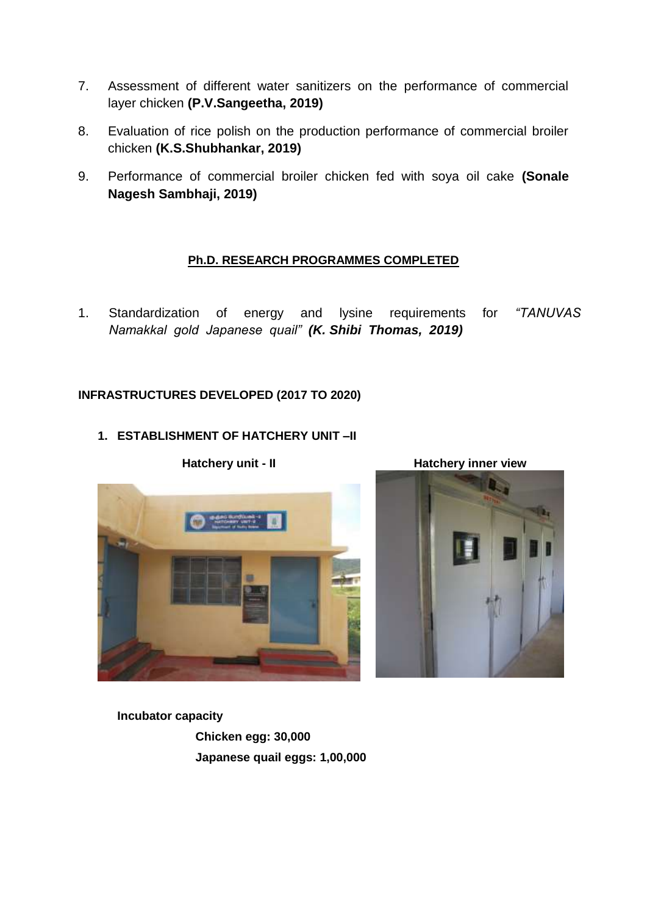- 7. Assessment of different water sanitizers on the performance of commercial layer chicken **(P.V.Sangeetha, 2019)**
- 8. Evaluation of rice polish on the production performance of commercial broiler chicken **(K.S.Shubhankar, 2019)**
- 9. Performance of commercial broiler chicken fed with soya oil cake **(Sonale Nagesh Sambhaji, 2019)**

## **Ph.D. RESEARCH PROGRAMMES COMPLETED**

1. Standardization of energy and lysine requirements for *"TANUVAS Namakkal gold Japanese quail" (K. Shibi Thomas, 2019)*

# **INFRASTRUCTURES DEVELOPED (2017 TO 2020)**

## **1. ESTABLISHMENT OF HATCHERY UNIT –II**

**Hatchery unit - II Hatchery inner view**



**Incubator capacity Chicken egg: 30,000 Japanese quail eggs: 1,00,000**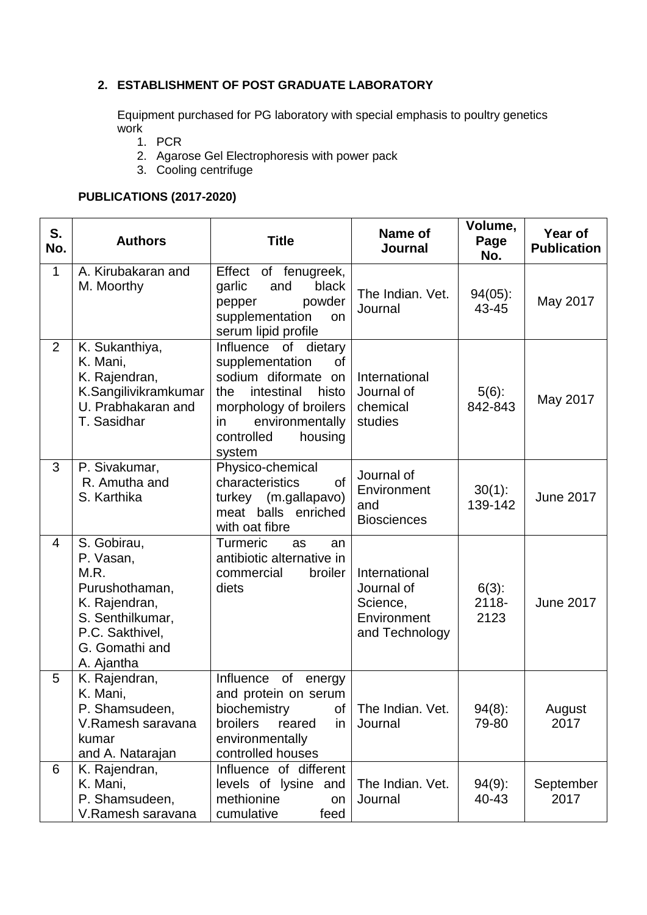## **2. ESTABLISHMENT OF POST GRADUATE LABORATORY**

Equipment purchased for PG laboratory with special emphasis to poultry genetics work

- 1. PCR
- 2. Agarose Gel Electrophoresis with power pack
- 3. Cooling centrifuge

## **PUBLICATIONS (2017-2020)**

| S.<br>No.      | <b>Authors</b>                                                                                                                             | <b>Title</b>                                                                                                                                                                              | Name of<br>Journal                                                       | Volume,<br>Page<br>No.       | Year of<br><b>Publication</b> |
|----------------|--------------------------------------------------------------------------------------------------------------------------------------------|-------------------------------------------------------------------------------------------------------------------------------------------------------------------------------------------|--------------------------------------------------------------------------|------------------------------|-------------------------------|
| 1              | A. Kirubakaran and<br>M. Moorthy                                                                                                           | Effect<br>of fenugreek,<br>black<br>garlic<br>and<br>powder<br>pepper<br>supplementation<br>on<br>serum lipid profile                                                                     | The Indian. Vet.<br>Journal                                              | $94(05)$ :<br>43-45          | May 2017                      |
| $\overline{2}$ | K. Sukanthiya,<br>K. Mani,<br>K. Rajendran,<br>K.Sangilivikramkumar<br>U. Prabhakaran and<br>T. Sasidhar                                   | Influence of dietary<br>supplementation<br>οf<br>sodium diformate on<br>intestinal<br>the<br>histo<br>morphology of broilers<br>environmentally<br>in.<br>housing<br>controlled<br>system | International<br>Journal of<br>chemical<br>studies                       | $5(6)$ :<br>842-843          | May 2017                      |
| 3              | P. Sivakumar,<br>R. Amutha and<br>S. Karthika                                                                                              | Physico-chemical<br>characteristics<br><b>of</b><br>turkey (m.gallapavo)<br>meat balls enriched<br>with oat fibre                                                                         | Journal of<br>Environment<br>and<br><b>Biosciences</b>                   | $30(1)$ :<br>139-142         | <b>June 2017</b>              |
| $\overline{4}$ | S. Gobirau,<br>P. Vasan,<br>M.R.<br>Purushothaman,<br>K. Rajendran,<br>S. Senthilkumar,<br>P.C. Sakthivel,<br>G. Gomathi and<br>A. Ajantha | <b>Turmeric</b><br>as<br>an<br>antibiotic alternative in<br>commercial<br>broiler<br>diets                                                                                                | International<br>Journal of<br>Science,<br>Environment<br>and Technology | $6(3)$ :<br>$2118 -$<br>2123 | <b>June 2017</b>              |
| 5              | K. Rajendran,<br>K. Mani,<br>P. Shamsudeen,<br>V.Ramesh saravana<br>kumar<br>and A. Natarajan                                              | Influence<br>of<br>energy<br>and protein on serum<br>biochemistry<br>0t<br>broilers<br>reared<br>in.<br>environmentally<br>controlled houses                                              | The Indian. Vet.<br>Journal                                              | 94(8):<br>79-80              | August<br>2017                |
| 6              | K. Rajendran,<br>K. Mani,<br>P. Shamsudeen,<br>V.Ramesh saravana                                                                           | Influence of different<br>levels of lysine and<br>methionine<br>on<br>cumulative<br>feed                                                                                                  | The Indian. Vet.<br>Journal                                              | $94(9)$ :<br>40-43           | September<br>2017             |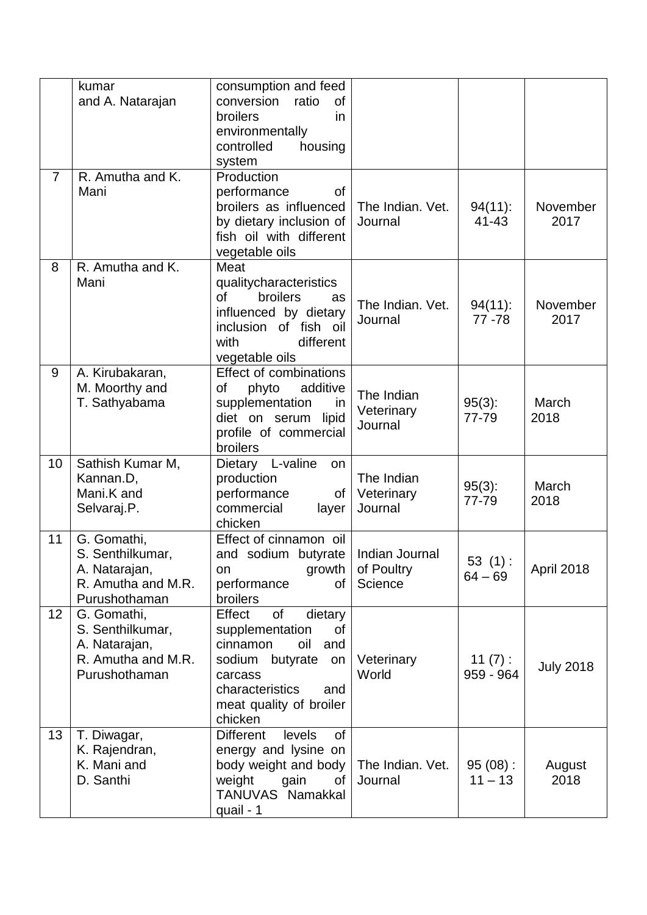|                | kumar<br>and A. Natarajan                                                               | consumption and feed<br>conversion ratio<br><b>of</b><br>broilers<br>in<br>environmentally<br>controlled<br>housing<br>system                                                     |                                         |                         |                  |
|----------------|-----------------------------------------------------------------------------------------|-----------------------------------------------------------------------------------------------------------------------------------------------------------------------------------|-----------------------------------------|-------------------------|------------------|
| $\overline{7}$ | R. Amutha and K.<br>Mani                                                                | Production<br>performance<br>οf<br>broilers as influenced<br>by dietary inclusion of<br>fish oil with different<br>vegetable oils                                                 | The Indian. Vet.<br>Journal             | $94(11)$ :<br>$41 - 43$ | November<br>2017 |
| 8              | R. Amutha and K.<br>Mani                                                                | Meat<br>qualitycharacteristics<br>of<br>broilers<br>as<br>influenced by dietary<br>inclusion of fish oil<br>different<br>with<br>vegetable oils                                   | The Indian. Vet.<br>Journal             | $94(11)$ :<br>77 - 78   | November<br>2017 |
| 9              | A. Kirubakaran,<br>M. Moorthy and<br>T. Sathyabama                                      | <b>Effect of combinations</b><br>additive<br>phyto<br>of<br>supplementation<br>in<br>diet on serum<br>lipid<br>profile of commercial<br>broilers                                  | The Indian<br>Veterinary<br>Journal     | $95(3)$ :<br>77-79      | March<br>2018    |
| 10             | Sathish Kumar M,<br>Kannan.D,<br>Mani.K and<br>Selvaraj.P.                              | Dietary L-valine<br>on<br>production<br>performance<br>of<br>commercial<br>layer<br>chicken                                                                                       | The Indian<br>Veterinary<br>Journal     | $95(3)$ :<br>77-79      | March<br>2018    |
| 11             | G. Gomathi,<br>S. Senthilkumar,<br>A. Natarajan,<br>R. Amutha and M.R.<br>Purushothaman | Effect of cinnamon oil<br>and sodium butyrate<br>growth<br>on<br>performance<br>of<br><b>broilers</b>                                                                             | Indian Journal<br>of Poultry<br>Science | 53(1):<br>$64 - 69$     | April 2018       |
| 12             | G. Gomathi,<br>S. Senthilkumar,<br>A. Natarajan,<br>R. Amutha and M.R.<br>Purushothaman | Effect<br>of<br>dietary<br>supplementation<br>0f<br>cinnamon<br>oil<br>and<br>sodium<br>butyrate<br>on<br>carcass<br>characteristics<br>and<br>meat quality of broiler<br>chicken | Veterinary<br>World                     | 11(7):<br>959 - 964     | <b>July 2018</b> |
| 13             | T. Diwagar,<br>K. Rajendran,<br>K. Mani and<br>D. Santhi                                | <b>Different</b><br>levels<br><b>of</b><br>energy and lysine on<br>body weight and body<br>weight<br>gain<br>of<br>TANUVAS Namakkal<br>quail - 1                                  | The Indian. Vet.<br>Journal             | $95(08)$ :<br>$11 - 13$ | August<br>2018   |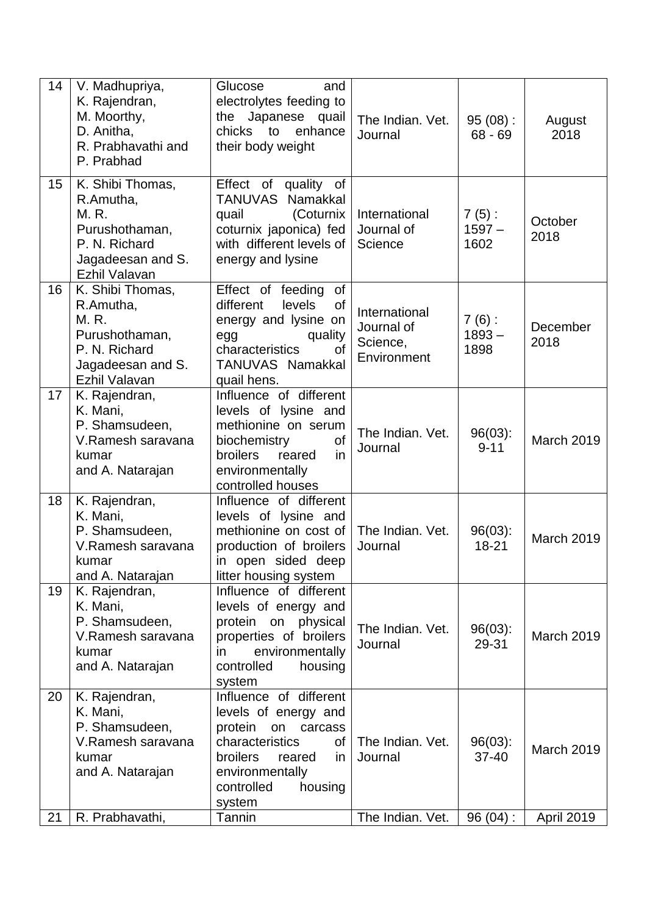| 14 | V. Madhupriya,<br>K. Rajendran,<br>M. Moorthy,<br>D. Anitha,<br>R. Prabhavathi and<br>P. Prabhad                | Glucose<br>and<br>electrolytes feeding to<br>the Japanese<br>quail<br>chicks<br>to<br>enhance<br>their body weight                                                                     | The Indian. Vet.<br>Journal                            | $95(08)$ :<br>$68 - 69$      | August<br>2018    |
|----|-----------------------------------------------------------------------------------------------------------------|----------------------------------------------------------------------------------------------------------------------------------------------------------------------------------------|--------------------------------------------------------|------------------------------|-------------------|
| 15 | K. Shibi Thomas,<br>R.Amutha,<br>M. R.<br>Purushothaman,<br>P. N. Richard<br>Jagadeesan and S.<br>Ezhil Valavan | Effect of quality of<br>TANUVAS Namakkal<br>(Coturnix<br>quail<br>coturnix japonica) fed<br>with different levels of<br>energy and lysine                                              | International<br>Journal of<br>Science                 | $7(5)$ :<br>$1597 -$<br>1602 | October<br>2018   |
| 16 | K. Shibi Thomas,<br>R.Amutha,<br>M. R.<br>Purushothaman,<br>P. N. Richard<br>Jagadeesan and S.<br>Ezhil Valavan | Effect of feeding<br><b>of</b><br>different<br>levels<br><b>of</b><br>energy and lysine on<br>quality<br>egg<br>characteristics<br>0f<br>TANUVAS Namakkal<br>quail hens.               | International<br>Journal of<br>Science,<br>Environment | $7(6)$ :<br>$1893 -$<br>1898 | December<br>2018  |
| 17 | K. Rajendran,<br>K. Mani,<br>P. Shamsudeen,<br>V.Ramesh saravana<br>kumar<br>and A. Natarajan                   | Influence of different<br>levels of lysine and<br>methionine on serum<br>biochemistry<br>of<br>in<br>broilers<br>reared<br>environmentally<br>controlled houses                        | The Indian. Vet.<br>Journal                            | $96(03)$ :<br>$9 - 11$       | March 2019        |
| 18 | K. Rajendran,<br>K. Mani,<br>P. Shamsudeen,<br>V.Ramesh saravana<br>kumar<br>and A. Natarajan                   | Influence of different<br>levels of lysine and<br>methionine on cost of<br>production of broilers<br>in open sided deep<br>litter housing system                                       | The Indian. Vet.<br>Journal                            | $96(03)$ :<br>18-21          | <b>March 2019</b> |
| 19 | K. Rajendran,<br>K. Mani,<br>P. Shamsudeen,<br>V.Ramesh saravana<br>kumar<br>and A. Natarajan                   | Influence of different<br>levels of energy and<br>protein on physical<br>properties of broilers<br>environmentally<br>in<br>housing<br>controlled<br>system                            | The Indian. Vet.<br>Journal                            | $96(03)$ :<br>29-31          | <b>March 2019</b> |
| 20 | K. Rajendran,<br>K. Mani,<br>P. Shamsudeen,<br>V.Ramesh saravana<br>kumar<br>and A. Natarajan                   | Influence of different<br>levels of energy and<br>protein<br>carcass<br>on<br>characteristics<br>of<br>broilers<br>reared<br>in.<br>environmentally<br>controlled<br>housing<br>system | The Indian. Vet.<br>Journal                            | $96(03)$ :<br>$37 - 40$      | March 2019        |
| 21 | R. Prabhavathi,                                                                                                 | Tannin                                                                                                                                                                                 | The Indian. Vet.                                       | 96(04):                      | April 2019        |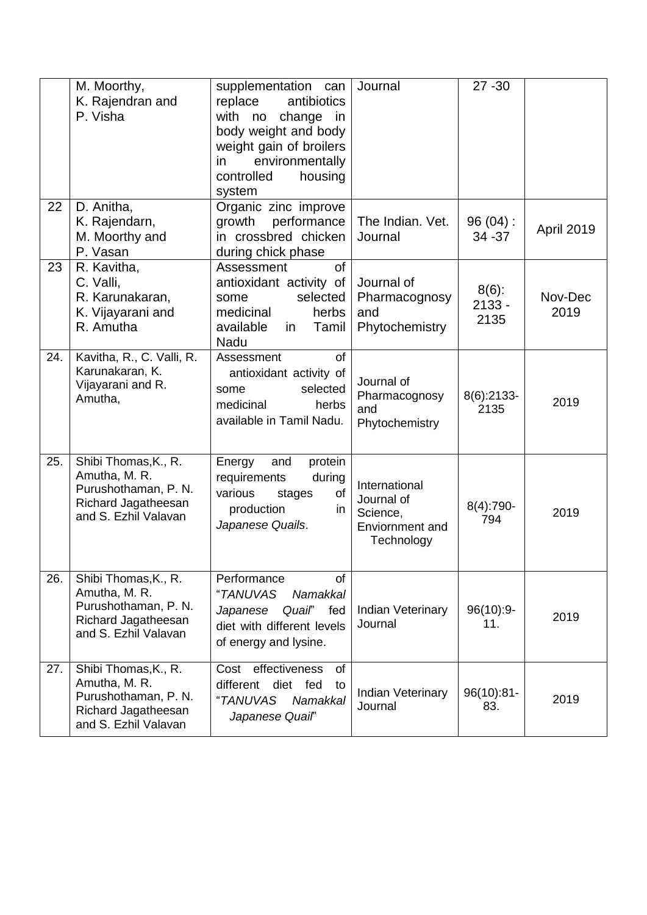|     | M. Moorthy,<br>K. Rajendran and<br>P. Visha                                                                  | supplementation can<br>replace<br>antibiotics<br>with<br>change<br>no<br>in<br>body weight and body<br>weight gain of broilers<br>environmentally<br>in<br>housing<br>controlled<br>system | Journal                                                                  | $27 - 30$                    |                 |
|-----|--------------------------------------------------------------------------------------------------------------|--------------------------------------------------------------------------------------------------------------------------------------------------------------------------------------------|--------------------------------------------------------------------------|------------------------------|-----------------|
| 22  | D. Anitha,<br>K. Rajendarn,<br>M. Moorthy and<br>P. Vasan                                                    | Organic zinc improve<br>performance<br>growth<br>in crossbred chicken<br>during chick phase                                                                                                | The Indian. Vet.<br>Journal                                              | 96(04):<br>34 - 37           | April 2019      |
| 23  | R. Kavitha,<br>C. Valli,<br>R. Karunakaran,<br>K. Vijayarani and<br>R. Amutha                                | <b>of</b><br>Assessment<br>antioxidant activity of<br>selected<br>some<br>medicinal<br>herbs<br>available<br>Tamil<br>in<br>Nadu                                                           | Journal of<br>Pharmacognosy<br>and<br>Phytochemistry                     | $8(6)$ :<br>$2133 -$<br>2135 | Nov-Dec<br>2019 |
| 24. | Kavitha, R., C. Valli, R.<br>Karunakaran, K.<br>Vijayarani and R.<br>Amutha,                                 | of<br>Assessment<br>antioxidant activity of<br>selected<br>some<br>medicinal<br>herbs<br>available in Tamil Nadu.                                                                          | Journal of<br>Pharmacognosy<br>and<br>Phytochemistry                     | $8(6)$ :2133-<br>2135        | 2019            |
| 25. | Shibi Thomas, K., R.<br>Amutha, M. R.<br>Purushothaman, P. N.<br>Richard Jagatheesan<br>and S. Ezhil Valavan | Energy<br>and<br>protein<br>requirements<br>during<br>of<br>various<br>stages<br>production<br>in.<br>Japanese Quails.                                                                     | International<br>Journal of<br>Science,<br>Enviornment and<br>Technology | $8(4)$ :790-<br>794          | 2019            |
| 26. | Shibi Thomas, K., R.<br>Amutha, M. R.<br>Purushothaman, P. N.<br>Richard Jagatheesan<br>and S. Ezhil Valavan | Performance<br><b>of</b><br>"TANUVAS<br>Namakkal<br>Quail" fed<br>Japanese<br>diet with different levels<br>of energy and lysine.                                                          | Indian Veterinary<br>Journal                                             | 96(10):9-<br>11.             | 2019            |
| 27. | Shibi Thomas, K., R.<br>Amutha, M. R.<br>Purushothaman, P. N.<br>Richard Jagatheesan<br>and S. Ezhil Valavan | effectiveness<br>of<br>Cost<br>different<br>diet fed<br>to<br>"TANUVAS<br>Namakkal<br>Japanese Quail"                                                                                      | Indian Veterinary<br>Journal                                             | $96(10):81-$<br>83.          | 2019            |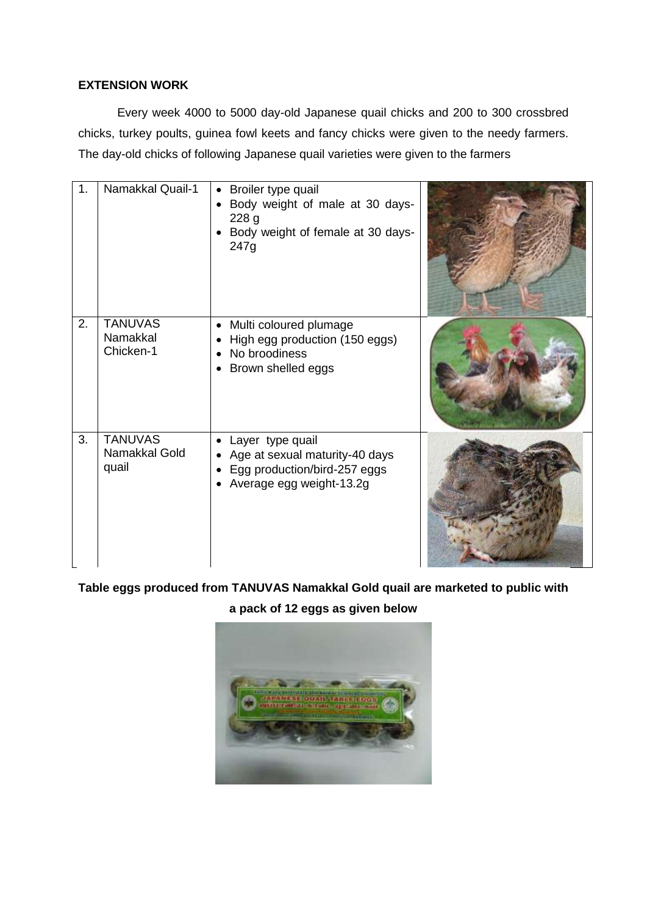#### **EXTENSION WORK**

Every week 4000 to 5000 day-old Japanese quail chicks and 200 to 300 crossbred chicks, turkey poults, guinea fowl keets and fancy chicks were given to the needy farmers. The day-old chicks of following Japanese quail varieties were given to the farmers

| 1. | Namakkal Quail-1                         | Broiler type quail<br>$\bullet$<br>Body weight of male at 30 days-<br>228 <sub>g</sub><br>Body weight of female at 30 days-<br>247g |  |
|----|------------------------------------------|-------------------------------------------------------------------------------------------------------------------------------------|--|
| 2. | <b>TANUVAS</b><br>Namakkal<br>Chicken-1  | Multi coloured plumage<br>$\bullet$<br>High egg production (150 eggs)<br>No broodiness<br>Brown shelled eggs                        |  |
| 3. | <b>TANUVAS</b><br>Namakkal Gold<br>quail | Layer type quail<br>Age at sexual maturity-40 days<br>Egg production/bird-257 eggs<br>Average egg weight-13.2g                      |  |

**Table eggs produced from TANUVAS Namakkal Gold quail are marketed to public with** 

**a pack of 12 eggs as given below**